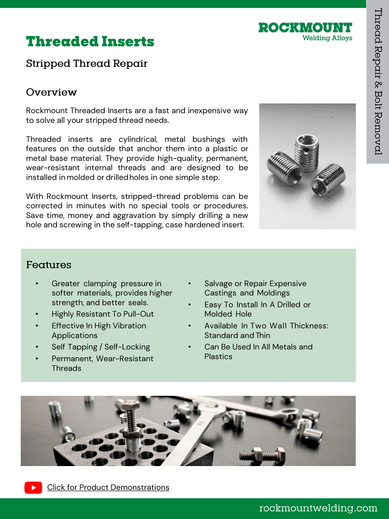

# **Threaded Inserts**

# Stripped Thread Repair

# Overview

Rockmount Threaded Inserts are a fast and inexpensive way to solve all your stripped thread needs.

Threaded inserts are cylindrical, metal bushings with features on the outside that anchor them into a plastic or metal base material. They provide high-quality, permanent, wear-resistant internal threads and are designed to be installed in molded or drilledholes in one simple step.

With Rockmount Inserts, stripped-thread problems can be corrected in minutes with no special tools or procedures. Save time, money and aggravation by simply drilling a new hole and screwing in the self-tapping, case hardened insert.



### Features

- Greater clamping pressure in softer materials, provides higher strength, and better seals.
- Highly Resistant To Pull-Out
- **Effective In High Vibration** Applications
- Self Tapping / Self-Locking
- Permanent, Wear-Resistant **Threads**
- Salvage or Repair Expensive Castings and Moldings
- Easy To Install In A Drilled or Molded Hole
- Available In Two Wall Thickness: Standard andThin
- Can Be Used In All Metals and Plastics

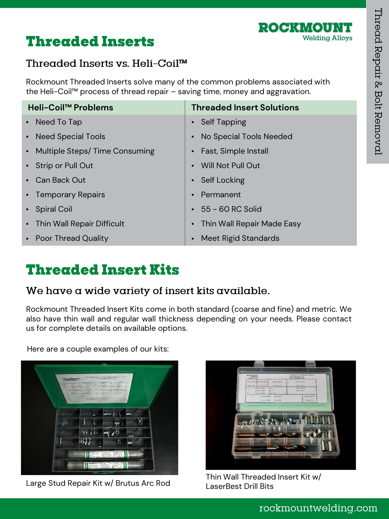



# Threaded Inserts vs. Heli-Coil™

Rockmount Threaded Inserts solve many of the common problems associated with the Heli-Coil™ process of thread repair – saving time, money and aggravation.

| Heli-Coil <sup>™</sup> Problems | <b>Threaded Insert Solutions</b>        |
|---------------------------------|-----------------------------------------|
| • Need To Tap                   | • Self Tapping                          |
| • Need Special Tools            | • No Special Tools Needed               |
| • Multiple Steps/Time Consuming | • Fast, Simple Install                  |
| • Strip or Pull Out             | • Will Not Pull Out                     |
| • Can Back Out                  | • Self Locking                          |
| • Temporary Repairs             | • Permanent                             |
| • Spiral Coil                   | $\cdot$ 55 – 60 RC Solid                |
| • Thin Wall Repair Difficult    | Thin Wall Repair Made Easy<br>$\bullet$ |
| • Poor Thread Quality           | Meet Rigid Standards<br>$\bullet$       |

# **Threaded Insert Kits**

### We have a wide variety of insert kits available.

Rockmount Threaded Insert Kits come in both standard (coarse and fine) and metric. We also have thin wall and regular wall thickness depending on your needs. Please contact us for complete details on available options.

Here are a couple examples of our kits:



Large Stud Repair Kit w/ Brutus Arc Rod



Thin Wall Threaded Insert Kit w/ LaserBest Drill Bits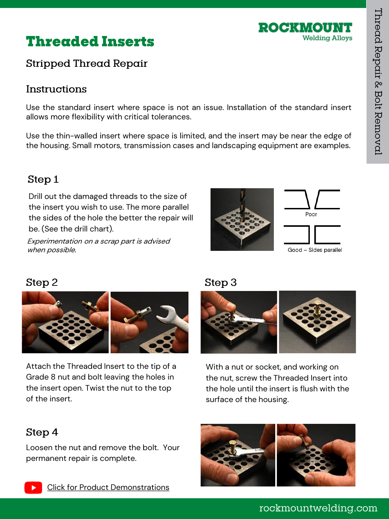

# **Threaded Inserts**

# Stripped Thread Repair

# Instructions

Use the standard insert where space is not an issue. Installation of the standard insert allows more flexibility with critical tolerances.

Use the thin-walled insert where space is limited, and the insert may be near the edge of the housing. Small motors, transmission cases and landscaping equipment are examples.

# Step 1

Drill out the damaged threads to the size of the insert you wish to use. The more parallel the sides of the hole the better the repair will be. (See the drill chart).

Experimentation on a scrap part is advised when possible.





# Step 2



Attach the Threaded Insert to the tip of a Grade 8 nut and bolt leaving the holes in the insert open. Twist the nut to the top of the insert.

# Step<sub>3</sub>



With a nut or socket, and working on the nut, screw the Threaded Insert into the hole until the insert is flush with the surface of the housing.

# Step 4

Loosen the nut and remove the bolt. Your permanent repair is complete.



rockmountwelding.com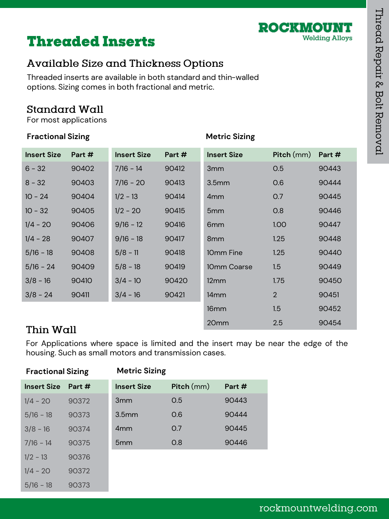

# **Threaded Inserts**

# Available Size and Thickness Options

Threaded inserts are available in both standard and thin-walled options. Sizing comes in both fractional and metric.

# **Standard Wall**

For most applications

### **Fractional Sizing**  The Metric Sizing

| <b>Insert Size</b> | Part # | <b>Insert Size</b> | Part # | <b>Insert Size</b> | Pitch (mm)     | Part # |
|--------------------|--------|--------------------|--------|--------------------|----------------|--------|
| $6 - 32$           | 90402  | $7/16 - 14$        | 90412  | 3mm                | 0.5            | 90443  |
| $8 - 32$           | 90403  | $7/16 - 20$        | 90413  | 3.5 <sub>mm</sub>  | 0.6            | 90444  |
| $10 - 24$          | 90404  | $1/2 - 13$         | 90414  | 4 <sub>mm</sub>    | 0.7            | 90445  |
| $10 - 32$          | 90405  | $1/2 - 20$         | 90415  | 5 <sub>mm</sub>    | 0.8            | 90446  |
| $1/4 - 20$         | 90406  | $9/16 - 12$        | 90416  | 6 <sub>mm</sub>    | <b>1.00</b>    | 90447  |
| $1/4 - 28$         | 90407  | $9/16 - 18$        | 90417  | 8 <sub>mm</sub>    | 1.25           | 90448  |
| $5/16 - 18$        | 90408  | $5/8 - 11$         | 90418  | 10mm Fine          | 1.25           | 90440  |
| $5/16 - 24$        | 90409  | $5/8 - 18$         | 90419  | 10mm Coarse        | 1.5            | 90449  |
| $3/8 - 16$         | 90410  | $3/4 - 10$         | 90420  | $12 \text{mm}$     | 1.75           | 90450  |
| $3/8 - 24$         | 90411  | $3/4 - 16$         | 90421  | 14 <sub>mm</sub>   | $\overline{2}$ | 90451  |
|                    |        |                    |        | 16 <sub>mm</sub>   | 1.5            | 90452  |
|                    |        |                    |        | 20 <sub>mm</sub>   | 2.5            | 90454  |

# Thin Wall

For Applications where space is limited and the insert may be near the edge of the housing. Such as small motors and transmission cases.

| <b>Fractional Sizing</b> |        | <b>Metric Sizing</b> |            |        |
|--------------------------|--------|----------------------|------------|--------|
| <b>Insert Size</b>       | Part # | <b>Insert Size</b>   | Pitch (mm) | Part # |
| $1/4 - 20$               | 90372  | 3 <sub>mm</sub>      | 0.5        | 90443  |
| $5/16 - 18$              | 90373  | 3.5 <sub>mm</sub>    | 0.6        | 90444  |
| $3/8 - 16$               | 90374  | 4 <sub>mm</sub>      | 0.7        | 90445  |
| $7/16 - 14$              | 90375  | 5 <sub>mm</sub>      | O.8        | 90446  |
| $1/2 - 13$               | 90376  |                      |            |        |
| $1/4 - 20$               | 90372  |                      |            |        |
| $5/16 - 18$              | 90373  |                      |            |        |

# rockmountwelding.com